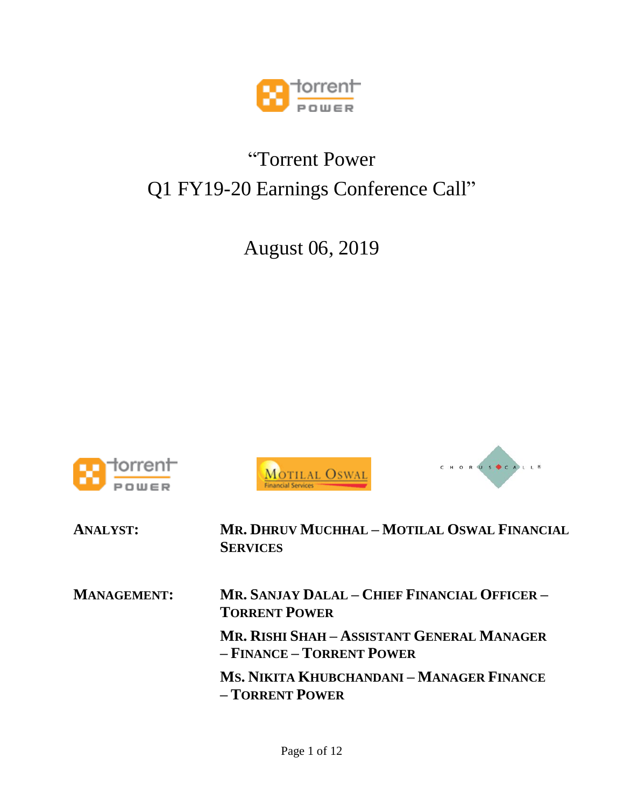

## "Torrent Power Q1 FY19-20 Earnings Conference Call"

August 06, 2019







| <b>ANALYST:</b>    | MR. DHRUV MUCHHAL - MOTILAL OSWAL FINANCIAL<br><b>SERVICES</b>          |
|--------------------|-------------------------------------------------------------------------|
| <b>MANAGEMENT:</b> | MR. SANJAY DALAL – CHIEF FINANCIAL OFFICER –<br><b>TORRENT POWER</b>    |
|                    | MR. RISHI SHAH - ASSISTANT GENERAL MANAGER<br>- FINANCE - TORRENT POWER |
|                    | MS. NIKITA KHUBCHANDANI – MANAGER FINANCE<br>- TORRENT POWER            |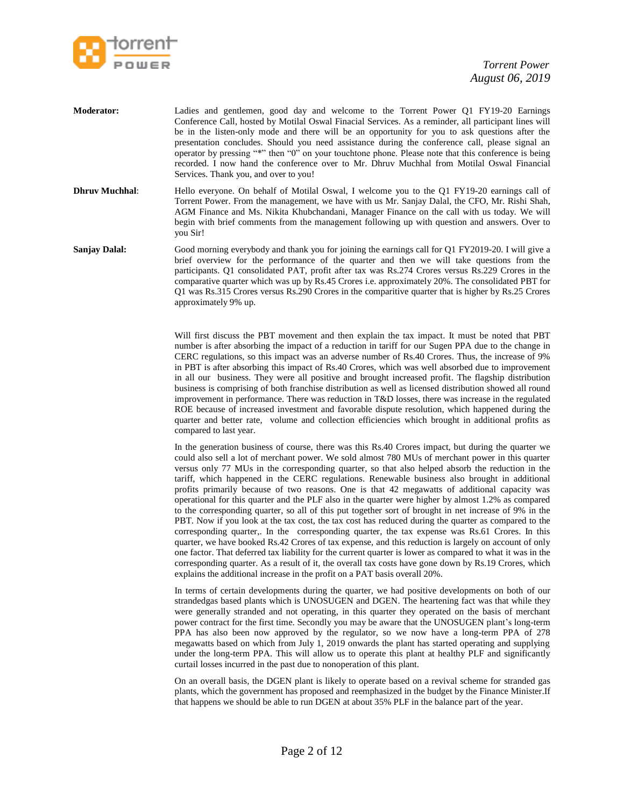

- **Moderator:** Ladies and gentlemen, good day and welcome to the Torrent Power Q1 FY19-20 Earnings Conference Call, hosted by Motilal Oswal Finacial Services. As a reminder, all participant lines will be in the listen-only mode and there will be an opportunity for you to ask questions after the presentation concludes. Should you need assistance during the conference call, please signal an operator by pressing "\*" then "0" on your touchtone phone. Please note that this conference is being recorded. I now hand the conference over to Mr. Dhruv Muchhal from Motilal Oswal Financial Services. Thank you, and over to you!
- **Dhruv Muchhal:** Hello everyone. On behalf of Motilal Oswal, I welcome you to the Q1 FY19-20 earnings call of Torrent Power. From the management, we have with us Mr. Sanjay Dalal, the CFO, Mr. Rishi Shah, AGM Finance and Ms. Nikita Khubchandani, Manager Finance on the call with us today. We will begin with brief comments from the management following up with question and answers. Over to you Sir!
- **Sanjay Dalal:** Good morning everybody and thank you for joining the earnings call for Q1 FY2019-20. I will give a brief overview for the performance of the quarter and then we will take questions from the participants. Q1 consolidated PAT, profit after tax was Rs.274 Crores versus Rs.229 Crores in the comparative quarter which was up by Rs.45 Crores i.e. approximately 20%. The consolidated PBT for Q1 was Rs.315 Crores versus Rs.290 Crores in the comparitive quarter that is higher by Rs.25 Crores approximately 9% up.

Will first discuss the PBT movement and then explain the tax impact. It must be noted that PBT number is after absorbing the impact of a reduction in tariff for our Sugen PPA due to the change in CERC regulations, so this impact was an adverse number of Rs.40 Crores. Thus, the increase of 9% in PBT is after absorbing this impact of Rs.40 Crores, which was well absorbed due to improvement in all our business. They were all positive and brought increased profit. The flagship distribution business is comprising of both franchise distribution as well as licensed distribution showed all round improvement in performance. There was reduction in T&D losses, there was increase in the regulated ROE because of increased investment and favorable dispute resolution, which happened during the quarter and better rate, volume and collection efficiencies which brought in additional profits as compared to last year.

In the generation business of course, there was this Rs.40 Crores impact, but during the quarter we could also sell a lot of merchant power. We sold almost 780 MUs of merchant power in this quarter versus only 77 MUs in the corresponding quarter, so that also helped absorb the reduction in the tariff, which happened in the CERC regulations. Renewable business also brought in additional profits primarily because of two reasons. One is that 42 megawatts of additional capacity was operational for this quarter and the PLF also in the quarter were higher by almost 1.2% as compared to the corresponding quarter, so all of this put together sort of brought in net increase of 9% in the PBT. Now if you look at the tax cost, the tax cost has reduced during the quarter as compared to the corresponding quarter,. In the corresponding quarter, the tax expense was Rs.61 Crores. In this quarter, we have booked Rs.42 Crores of tax expense, and this reduction is largely on account of only one factor. That deferred tax liability for the current quarter is lower as compared to what it was in the corresponding quarter. As a result of it, the overall tax costs have gone down by Rs.19 Crores, which explains the additional increase in the profit on a PAT basis overall 20%.

In terms of certain developments during the quarter, we had positive developments on both of our strandedgas based plants which is UNOSUGEN and DGEN. The heartening fact was that while they were generally stranded and not operating, in this quarter they operated on the basis of merchant power contract for the first time. Secondly you may be aware that the UNOSUGEN plant's long-term PPA has also been now approved by the regulator, so we now have a long-term PPA of 278 megawatts based on which from July 1, 2019 onwards the plant has started operating and supplying under the long-term PPA. This will allow us to operate this plant at healthy PLF and significantly curtail losses incurred in the past due to nonoperation of this plant.

On an overall basis, the DGEN plant is likely to operate based on a revival scheme for stranded gas plants, which the government has proposed and reemphasized in the budget by the Finance Minister.If that happens we should be able to run DGEN at about 35% PLF in the balance part of the year.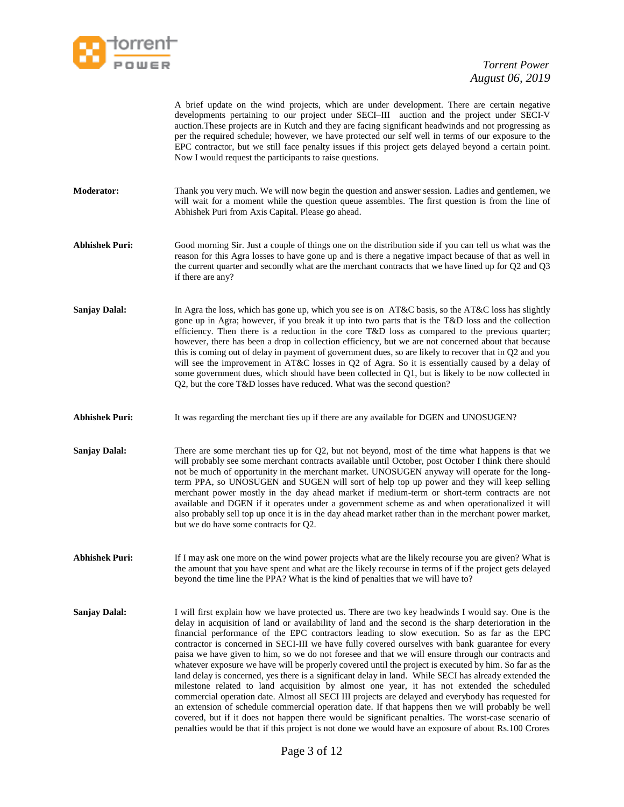

A brief update on the wind projects, which are under development. There are certain negative developments pertaining to our project under SECI–III auction and the project under SECI-V auction.These projects are in Kutch and they are facing significant headwinds and not progressing as per the required schedule; however, we have protected our self well in terms of our exposure to the EPC contractor, but we still face penalty issues if this project gets delayed beyond a certain point. Now I would request the participants to raise questions.

- **Moderator:** Thank you very much. We will now begin the question and answer session. Ladies and gentlemen, we will wait for a moment while the question queue assembles. The first question is from the line of Abhishek Puri from Axis Capital. Please go ahead.
- **Abhishek Puri:** Good morning Sir. Just a couple of things one on the distribution side if you can tell us what was the reason for this Agra losses to have gone up and is there a negative impact because of that as well in the current quarter and secondly what are the merchant contracts that we have lined up for Q2 and Q3 if there are any?
- **Sanjay Dalal:** In Agra the loss, which has gone up, which you see is on AT&C basis, so the AT&C loss has slightly gone up in Agra; however, if you break it up into two parts that is the T&D loss and the collection efficiency. Then there is a reduction in the core T&D loss as compared to the previous quarter; however, there has been a drop in collection efficiency, but we are not concerned about that because this is coming out of delay in payment of government dues, so are likely to recover that in Q2 and you will see the improvement in AT&C losses in Q2 of Agra. So it is essentially caused by a delay of some government dues, which should have been collected in Q1, but is likely to be now collected in Q2, but the core T&D losses have reduced. What was the second question?
- Abhishek Puri: It was regarding the merchant ties up if there are any available for DGEN and UNOSUGEN?
- **Sanjay Dalal:** There are some merchant ties up for Q2, but not beyond, most of the time what happens is that we will probably see some merchant contracts available until October, post October I think there should not be much of opportunity in the merchant market. UNOSUGEN anyway will operate for the longterm PPA, so UNOSUGEN and SUGEN will sort of help top up power and they will keep selling merchant power mostly in the day ahead market if medium-term or short-term contracts are not available and DGEN if it operates under a government scheme as and when operationalized it will also probably sell top up once it is in the day ahead market rather than in the merchant power market, but we do have some contracts for Q2.
- Abhishek Puri: If I may ask one more on the wind power projects what are the likely recourse you are given? What is the amount that you have spent and what are the likely recourse in terms of if the project gets delayed beyond the time line the PPA? What is the kind of penalties that we will have to?
- **Sanjay Dalal:** I will first explain how we have protected us. There are two key headwinds I would say. One is the delay in acquisition of land or availability of land and the second is the sharp deterioration in the financial performance of the EPC contractors leading to slow execution. So as far as the EPC contractor is concerned in SECI-III we have fully covered ourselves with bank guarantee for every paisa we have given to him, so we do not foresee and that we will ensure through our contracts and whatever exposure we have will be properly covered until the project is executed by him. So far as the land delay is concerned, yes there is a significant delay in land. While SECI has already extended the milestone related to land acquisition by almost one year, it has not extended the scheduled commercial operation date. Almost all SECI III projects are delayed and everybody has requested for an extension of schedule commercial operation date. If that happens then we will probably be well covered, but if it does not happen there would be significant penalties. The worst-case scenario of penalties would be that if this project is not done we would have an exposure of about Rs.100 Crores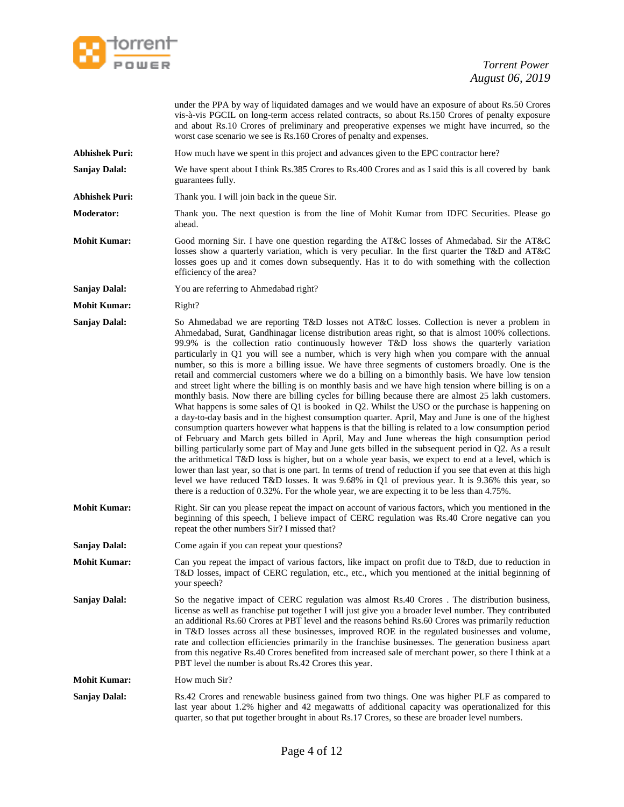

under the PPA by way of liquidated damages and we would have an exposure of about Rs.50 Crores vis-à-vis PGCIL on long-term access related contracts, so about Rs.150 Crores of penalty exposure and about Rs.10 Crores of preliminary and preoperative expenses we might have incurred, so the worst case scenario we see is Rs.160 Crores of penalty and expenses.

**Abhishek Puri:** How much have we spent in this project and advances given to the EPC contractor here?

**Sanjay Dalal:** We have spent about I think Rs.385 Crores to Rs.400 Crores and as I said this is all covered by bank guarantees fully.

- **Abhishek Puri:** Thank you. I will join back in the queue Sir.
- **Moderator:** Thank you. The next question is from the line of Mohit Kumar from IDFC Securities. Please go ahead.
- **Mohit Kumar:** Good morning Sir. I have one question regarding the AT&C losses of Ahmedabad. Sir the AT&C losses show a quarterly variation, which is very peculiar. In the first quarter the T&D and AT&C losses goes up and it comes down subsequently. Has it to do with something with the collection efficiency of the area?
- **Sanjay Dalal:** You are referring to Ahmedabad right?

**Mohit Kumar:** Right?

- **Sanjay Dalal:** So Ahmedabad we are reporting T&D losses not AT&C losses. Collection is never a problem in Ahmedabad, Surat, Gandhinagar license distribution areas right, so that is almost 100% collections. 99.9% is the collection ratio continuously however T&D loss shows the quarterly variation particularly in Q1 you will see a number, which is very high when you compare with the annual number, so this is more a billing issue. We have three segments of customers broadly. One is the retail and commercial customers where we do a billing on a bimonthly basis. We have low tension and street light where the billing is on monthly basis and we have high tension where billing is on a monthly basis. Now there are billing cycles for billing because there are almost 25 lakh customers. What happens is some sales of Q1 is booked in Q2. Whilst the USO or the purchase is happening on a day-to-day basis and in the highest consumption quarter. April, May and June is one of the highest consumption quarters however what happens is that the billing is related to a low consumption period of February and March gets billed in April, May and June whereas the high consumption period billing particularly some part of May and June gets billed in the subsequent period in Q2. As a result the arithmetical T&D loss is higher, but on a whole year basis, we expect to end at a level, which is lower than last year, so that is one part. In terms of trend of reduction if you see that even at this high level we have reduced T&D losses. It was 9.68% in Q1 of previous year. It is 9.36% this year, so there is a reduction of 0.32%. For the whole year, we are expecting it to be less than 4.75%.
- **Mohit Kumar:** Right. Sir can you please repeat the impact on account of various factors, which you mentioned in the beginning of this speech, I believe impact of CERC regulation was Rs.40 Crore negative can you repeat the other numbers Sir? I missed that?
- **Sanjay Dalal:** Come again if you can repeat your questions?
- **Mohit Kumar:** Can you repeat the impact of various factors, like impact on profit due to T&D, due to reduction in T&D losses, impact of CERC regulation, etc., etc., which you mentioned at the initial beginning of your speech?
- **Sanjay Dalal:** So the negative impact of CERC regulation was almost Rs.40 Crores . The distribution business, license as well as franchise put together I will just give you a broader level number. They contributed an additional Rs.60 Crores at PBT level and the reasons behind Rs.60 Crores was primarily reduction in T&D losses across all these businesses, improved ROE in the regulated businesses and volume, rate and collection efficiencies primarily in the franchise businesses. The generation business apart from this negative Rs.40 Crores benefited from increased sale of merchant power, so there I think at a PBT level the number is about Rs.42 Crores this year.

**Mohit Kumar:** How much Sir?

**Sanjay Dalal:** Rs.42 Crores and renewable business gained from two things. One was higher PLF as compared to last year about 1.2% higher and 42 megawatts of additional capacity was operationalized for this quarter, so that put together brought in about Rs.17 Crores, so these are broader level numbers.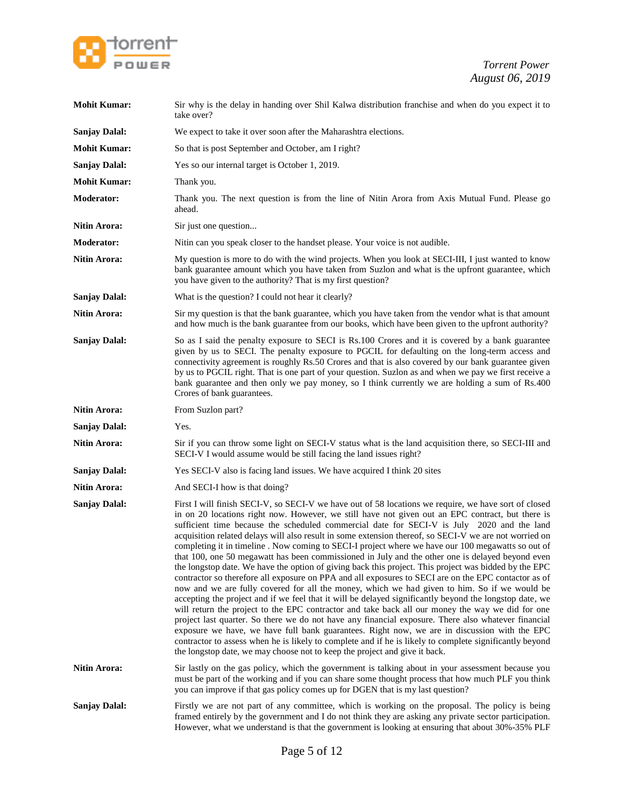

| <b>Mohit Kumar:</b>  | Sir why is the delay in handing over Shil Kalwa distribution franchise and when do you expect it to<br>take over?                                                                                                                                                                                                                                                                                                                                                                                                                                                                                                                                                                                                                                                                                                                                                                                                                                                                                                                                                                                                                                                                                                                                                                                                                                                                                                                                                                                                                                          |
|----------------------|------------------------------------------------------------------------------------------------------------------------------------------------------------------------------------------------------------------------------------------------------------------------------------------------------------------------------------------------------------------------------------------------------------------------------------------------------------------------------------------------------------------------------------------------------------------------------------------------------------------------------------------------------------------------------------------------------------------------------------------------------------------------------------------------------------------------------------------------------------------------------------------------------------------------------------------------------------------------------------------------------------------------------------------------------------------------------------------------------------------------------------------------------------------------------------------------------------------------------------------------------------------------------------------------------------------------------------------------------------------------------------------------------------------------------------------------------------------------------------------------------------------------------------------------------------|
| <b>Sanjay Dalal:</b> | We expect to take it over soon after the Maharashtra elections.                                                                                                                                                                                                                                                                                                                                                                                                                                                                                                                                                                                                                                                                                                                                                                                                                                                                                                                                                                                                                                                                                                                                                                                                                                                                                                                                                                                                                                                                                            |
| <b>Mohit Kumar:</b>  | So that is post September and October, am I right?                                                                                                                                                                                                                                                                                                                                                                                                                                                                                                                                                                                                                                                                                                                                                                                                                                                                                                                                                                                                                                                                                                                                                                                                                                                                                                                                                                                                                                                                                                         |
| <b>Sanjay Dalal:</b> | Yes so our internal target is October 1, 2019.                                                                                                                                                                                                                                                                                                                                                                                                                                                                                                                                                                                                                                                                                                                                                                                                                                                                                                                                                                                                                                                                                                                                                                                                                                                                                                                                                                                                                                                                                                             |
| <b>Mohit Kumar:</b>  | Thank you.                                                                                                                                                                                                                                                                                                                                                                                                                                                                                                                                                                                                                                                                                                                                                                                                                                                                                                                                                                                                                                                                                                                                                                                                                                                                                                                                                                                                                                                                                                                                                 |
| <b>Moderator:</b>    | Thank you. The next question is from the line of Nitin Arora from Axis Mutual Fund. Please go<br>ahead.                                                                                                                                                                                                                                                                                                                                                                                                                                                                                                                                                                                                                                                                                                                                                                                                                                                                                                                                                                                                                                                                                                                                                                                                                                                                                                                                                                                                                                                    |
| Nitin Arora:         | Sir just one question                                                                                                                                                                                                                                                                                                                                                                                                                                                                                                                                                                                                                                                                                                                                                                                                                                                                                                                                                                                                                                                                                                                                                                                                                                                                                                                                                                                                                                                                                                                                      |
| <b>Moderator:</b>    | Nitin can you speak closer to the handset please. Your voice is not audible.                                                                                                                                                                                                                                                                                                                                                                                                                                                                                                                                                                                                                                                                                                                                                                                                                                                                                                                                                                                                                                                                                                                                                                                                                                                                                                                                                                                                                                                                               |
| <b>Nitin Arora:</b>  | My question is more to do with the wind projects. When you look at SECI-III, I just wanted to know<br>bank guarantee amount which you have taken from Suzlon and what is the upfront guarantee, which<br>you have given to the authority? That is my first question?                                                                                                                                                                                                                                                                                                                                                                                                                                                                                                                                                                                                                                                                                                                                                                                                                                                                                                                                                                                                                                                                                                                                                                                                                                                                                       |
| <b>Sanjay Dalal:</b> | What is the question? I could not hear it clearly?                                                                                                                                                                                                                                                                                                                                                                                                                                                                                                                                                                                                                                                                                                                                                                                                                                                                                                                                                                                                                                                                                                                                                                                                                                                                                                                                                                                                                                                                                                         |
| Nitin Arora:         | Sir my question is that the bank guarantee, which you have taken from the vendor what is that amount<br>and how much is the bank guarantee from our books, which have been given to the upfront authority?                                                                                                                                                                                                                                                                                                                                                                                                                                                                                                                                                                                                                                                                                                                                                                                                                                                                                                                                                                                                                                                                                                                                                                                                                                                                                                                                                 |
| <b>Sanjay Dalal:</b> | So as I said the penalty exposure to SECI is Rs.100 Crores and it is covered by a bank guarantee<br>given by us to SECI. The penalty exposure to PGCIL for defaulting on the long-term access and<br>connectivity agreement is roughly Rs.50 Crores and that is also covered by our bank guarantee given<br>by us to PGCIL right. That is one part of your question. Suzlon as and when we pay we first receive a<br>bank guarantee and then only we pay money, so I think currently we are holding a sum of Rs.400<br>Crores of bank guarantees.                                                                                                                                                                                                                                                                                                                                                                                                                                                                                                                                                                                                                                                                                                                                                                                                                                                                                                                                                                                                          |
| <b>Nitin Arora:</b>  | From Suzlon part?                                                                                                                                                                                                                                                                                                                                                                                                                                                                                                                                                                                                                                                                                                                                                                                                                                                                                                                                                                                                                                                                                                                                                                                                                                                                                                                                                                                                                                                                                                                                          |
| <b>Sanjay Dalal:</b> | Yes.                                                                                                                                                                                                                                                                                                                                                                                                                                                                                                                                                                                                                                                                                                                                                                                                                                                                                                                                                                                                                                                                                                                                                                                                                                                                                                                                                                                                                                                                                                                                                       |
| <b>Nitin Arora:</b>  | Sir if you can throw some light on SECI-V status what is the land acquisition there, so SECI-III and<br>SECI-V I would assume would be still facing the land issues right?                                                                                                                                                                                                                                                                                                                                                                                                                                                                                                                                                                                                                                                                                                                                                                                                                                                                                                                                                                                                                                                                                                                                                                                                                                                                                                                                                                                 |
| <b>Sanjay Dalal:</b> | Yes SECI-V also is facing land issues. We have acquired I think 20 sites                                                                                                                                                                                                                                                                                                                                                                                                                                                                                                                                                                                                                                                                                                                                                                                                                                                                                                                                                                                                                                                                                                                                                                                                                                                                                                                                                                                                                                                                                   |
| Nitin Arora:         | And SECI-I how is that doing?                                                                                                                                                                                                                                                                                                                                                                                                                                                                                                                                                                                                                                                                                                                                                                                                                                                                                                                                                                                                                                                                                                                                                                                                                                                                                                                                                                                                                                                                                                                              |
| <b>Sanjay Dalal:</b> | First I will finish SECI-V, so SECI-V we have out of 58 locations we require, we have sort of closed<br>in on 20 locations right now. However, we still have not given out an EPC contract, but there is<br>sufficient time because the scheduled commercial date for SECI-V is July 2020 and the land<br>acquisition related delays will also result in some extension thereof, so SECI-V we are not worried on<br>completing it in timeline . Now coming to SECI-I project where we have our 100 megawatts so out of<br>that 100, one 50 megawatt has been commissioned in July and the other one is delayed beyond even<br>the longstop date. We have the option of giving back this project. This project was bidded by the EPC<br>contractor so therefore all exposure on PPA and all exposures to SECI are on the EPC contactor as of<br>now and we are fully covered for all the money, which we had given to him. So if we would be<br>accepting the project and if we feel that it will be delayed significantly beyond the longstop date, we<br>will return the project to the EPC contractor and take back all our money the way we did for one<br>project last quarter. So there we do not have any financial exposure. There also whatever financial<br>exposure we have, we have full bank guarantees. Right now, we are in discussion with the EPC<br>contractor to assess when he is likely to complete and if he is likely to complete significantly beyond<br>the longstop date, we may choose not to keep the project and give it back. |
| Nitin Arora:         | Sir lastly on the gas policy, which the government is talking about in your assessment because you<br>must be part of the working and if you can share some thought process that how much PLF you think<br>you can improve if that gas policy comes up for DGEN that is my last question?                                                                                                                                                                                                                                                                                                                                                                                                                                                                                                                                                                                                                                                                                                                                                                                                                                                                                                                                                                                                                                                                                                                                                                                                                                                                  |
| <b>Sanjay Dalal:</b> | Firstly we are not part of any committee, which is working on the proposal. The policy is being<br>framed entirely by the government and I do not think they are asking any private sector participation.<br>However, what we understand is that the government is looking at ensuring that about 30%-35% PLF                                                                                                                                                                                                                                                                                                                                                                                                                                                                                                                                                                                                                                                                                                                                                                                                                                                                                                                                                                                                                                                                                                                                                                                                                                              |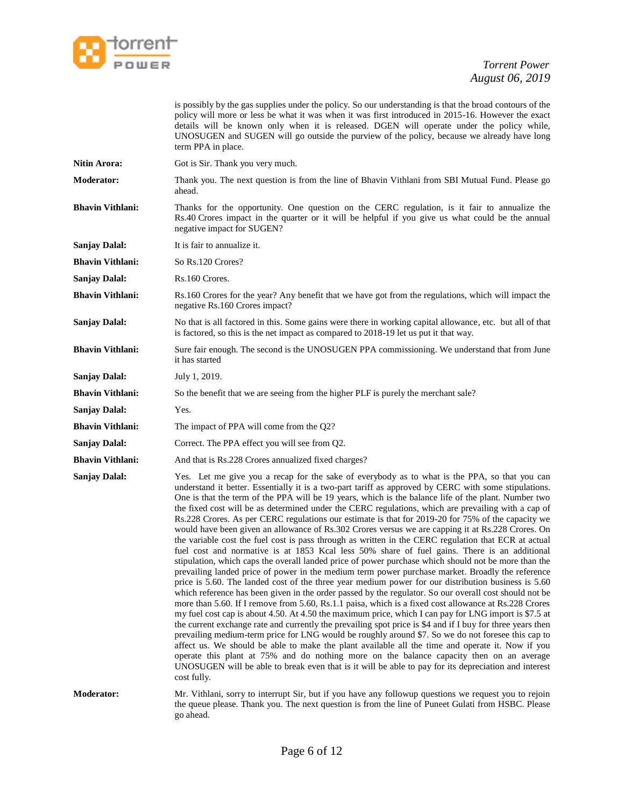

is possibly by the gas supplies under the policy. So our understanding is that the broad contours of the policy will more or less be what it was when it was first introduced in 2015-16. However the exact details will be known only when it is released. DGEN will operate under the policy while, UNOSUGEN and SUGEN will go outside the purview of the policy, because we already have long term PPA in place.

- **Nitin Arora:** Got is Sir. Thank you very much.
- **Moderator:** Thank you. The next question is from the line of Bhavin Vithlani from SBI Mutual Fund. Please go ahead.
- **Bhavin Vithlani:** Thanks for the opportunity. One question on the CERC regulation, is it fair to annualize the Rs.40 Crores impact in the quarter or it will be helpful if you give us what could be the annual negative impact for SUGEN?

**Sanjay Dalal:** It is fair to annualize it.

**Bhavin Vithlani:** So Rs.120 Crores?

**Sanjay Dalal:** Rs.160 Crores.

- **Bhavin Vithlani:** Rs.160 Crores for the year? Any benefit that we have got from the regulations, which will impact the negative Rs.160 Crores impact?
- **Sanjay Dalal:** No that is all factored in this. Some gains were there in working capital allowance, etc. but all of that is factored, so this is the net impact as compared to 2018-19 let us put it that way.
- **Bhavin Vithlani:** Sure fair enough. The second is the UNOSUGEN PPA commissioning. We understand that from June it has started
- **Sanjay Dalal:** July 1, 2019.
- **Bhavin Vithlani:** So the benefit that we are seeing from the higher PLF is purely the merchant sale?
- **Sanjay Dalal:** Yes.
- **Bhavin Vithlani:** The impact of PPA will come from the Q2?
- Sanjay Dalal: Correct. The PPA effect you will see from Q2.
- **Bhavin Vithlani:** And that is Rs.228 Crores annualized fixed charges?
- **Sanjay Dalal:** Yes. Let me give you a recap for the sake of everybody as to what is the PPA, so that you can understand it better. Essentially it is a two-part tariff as approved by CERC with some stipulations. One is that the term of the PPA will be 19 years, which is the balance life of the plant. Number two the fixed cost will be as determined under the CERC regulations, which are prevailing with a cap of Rs.228 Crores. As per CERC regulations our estimate is that for 2019-20 for 75% of the capacity we would have been given an allowance of Rs.302 Crores versus we are capping it at Rs.228 Crores. On the variable cost the fuel cost is pass through as written in the CERC regulation that ECR at actual fuel cost and normative is at 1853 Kcal less 50% share of fuel gains. There is an additional stipulation, which caps the overall landed price of power purchase which should not be more than the prevailing landed price of power in the medium term power purchase market. Broadly the reference price is 5.60. The landed cost of the three year medium power for our distribution business is 5.60 which reference has been given in the order passed by the regulator. So our overall cost should not be more than 5.60. If I remove from 5.60, Rs.1.1 paisa, which is a fixed cost allowance at Rs.228 Crores my fuel cost cap is about 4.50. At 4.50 the maximum price, which I can pay for LNG import is \$7.5 at the current exchange rate and currently the prevailing spot price is \$4 and if I buy for three years then prevailing medium-term price for LNG would be roughly around \$7. So we do not foresee this cap to affect us. We should be able to make the plant available all the time and operate it. Now if you operate this plant at 75% and do nothing more on the balance capacity then on an average UNOSUGEN will be able to break even that is it will be able to pay for its depreciation and interest cost fully.

**Moderator:** Mr. Vithlani, sorry to interrupt Sir, but if you have any followup questions we request you to rejoin the queue please. Thank you. The next question is from the line of Puneet Gulati from HSBC. Please go ahead.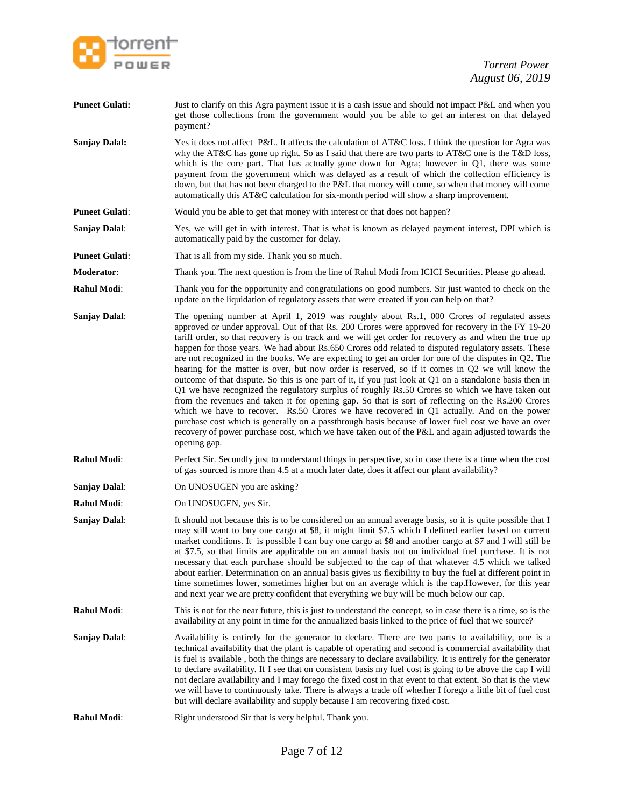

| <b>Puneet Gulati:</b> | Just to clarify on this Agra payment issue it is a cash issue and should not impact P&L and when you<br>get those collections from the government would you be able to get an interest on that delayed<br>payment?                                                                                                                                                                                                                                                                                                                                                                                                                                                                                                                                                                                                                                                                                                                                                                                                                                                                                                                                                                                                                                                             |
|-----------------------|--------------------------------------------------------------------------------------------------------------------------------------------------------------------------------------------------------------------------------------------------------------------------------------------------------------------------------------------------------------------------------------------------------------------------------------------------------------------------------------------------------------------------------------------------------------------------------------------------------------------------------------------------------------------------------------------------------------------------------------------------------------------------------------------------------------------------------------------------------------------------------------------------------------------------------------------------------------------------------------------------------------------------------------------------------------------------------------------------------------------------------------------------------------------------------------------------------------------------------------------------------------------------------|
| <b>Sanjay Dalal:</b>  | Yes it does not affect P&L. It affects the calculation of AT&C loss. I think the question for Agra was<br>why the AT&C has gone up right. So as I said that there are two parts to AT&C one is the T&D loss,<br>which is the core part. That has actually gone down for Agra; however in Q1, there was some<br>payment from the government which was delayed as a result of which the collection efficiency is<br>down, but that has not been charged to the P&L that money will come, so when that money will come<br>automatically this AT&C calculation for six-month period will show a sharp improvement.                                                                                                                                                                                                                                                                                                                                                                                                                                                                                                                                                                                                                                                                 |
| <b>Puneet Gulati:</b> | Would you be able to get that money with interest or that does not happen?                                                                                                                                                                                                                                                                                                                                                                                                                                                                                                                                                                                                                                                                                                                                                                                                                                                                                                                                                                                                                                                                                                                                                                                                     |
| <b>Sanjay Dalal:</b>  | Yes, we will get in with interest. That is what is known as delayed payment interest, DPI which is<br>automatically paid by the customer for delay.                                                                                                                                                                                                                                                                                                                                                                                                                                                                                                                                                                                                                                                                                                                                                                                                                                                                                                                                                                                                                                                                                                                            |
| <b>Puneet Gulati:</b> | That is all from my side. Thank you so much.                                                                                                                                                                                                                                                                                                                                                                                                                                                                                                                                                                                                                                                                                                                                                                                                                                                                                                                                                                                                                                                                                                                                                                                                                                   |
| Moderator:            | Thank you. The next question is from the line of Rahul Modi from ICICI Securities. Please go ahead.                                                                                                                                                                                                                                                                                                                                                                                                                                                                                                                                                                                                                                                                                                                                                                                                                                                                                                                                                                                                                                                                                                                                                                            |
| <b>Rahul Modi:</b>    | Thank you for the opportunity and congratulations on good numbers. Sir just wanted to check on the<br>update on the liquidation of regulatory assets that were created if you can help on that?                                                                                                                                                                                                                                                                                                                                                                                                                                                                                                                                                                                                                                                                                                                                                                                                                                                                                                                                                                                                                                                                                |
| <b>Sanjay Dalal:</b>  | The opening number at April 1, 2019 was roughly about Rs.1, 000 Crores of regulated assets<br>approved or under approval. Out of that Rs. 200 Crores were approved for recovery in the FY 19-20<br>tariff order, so that recovery is on track and we will get order for recovery as and when the true up<br>happen for those years. We had about Rs.650 Crores odd related to disputed regulatory assets. These<br>are not recognized in the books. We are expecting to get an order for one of the disputes in $Q2$ . The<br>hearing for the matter is over, but now order is reserved, so if it comes in Q2 we will know the<br>outcome of that dispute. So this is one part of it, if you just look at Q1 on a standalone basis then in<br>Q1 we have recognized the regulatory surplus of roughly Rs.50 Crores so which we have taken out<br>from the revenues and taken it for opening gap. So that is sort of reflecting on the Rs.200 Crores<br>which we have to recover. $Rs.50$ Crores we have recovered in Q1 actually. And on the power<br>purchase cost which is generally on a passthrough basis because of lower fuel cost we have an over<br>recovery of power purchase cost, which we have taken out of the P&L and again adjusted towards the<br>opening gap. |
| <b>Rahul Modi:</b>    | Perfect Sir. Secondly just to understand things in perspective, so in case there is a time when the cost<br>of gas sourced is more than 4.5 at a much later date, does it affect our plant availability?                                                                                                                                                                                                                                                                                                                                                                                                                                                                                                                                                                                                                                                                                                                                                                                                                                                                                                                                                                                                                                                                       |
| Sanjay Dalal:         | On UNOSUGEN you are asking?                                                                                                                                                                                                                                                                                                                                                                                                                                                                                                                                                                                                                                                                                                                                                                                                                                                                                                                                                                                                                                                                                                                                                                                                                                                    |
| Rahul Modi:           | On UNOSUGEN, yes Sir.                                                                                                                                                                                                                                                                                                                                                                                                                                                                                                                                                                                                                                                                                                                                                                                                                                                                                                                                                                                                                                                                                                                                                                                                                                                          |
| <b>Sanjay Dalal:</b>  | It should not because this is to be considered on an annual average basis, so it is quite possible that I<br>may still want to buy one cargo at \$8, it might limit \$7.5 which I defined earlier based on current<br>market conditions. It is possible I can buy one cargo at \$8 and another cargo at \$7 and I will still be<br>at \$7.5, so that limits are applicable on an annual basis not on individual fuel purchase. It is not<br>necessary that each purchase should be subjected to the cap of that whatever 4.5 which we talked<br>about earlier. Determination on an annual basis gives us flexibility to buy the fuel at different point in<br>time sometimes lower, sometimes higher but on an average which is the cap. However, for this year<br>and next year we are pretty confident that everything we buy will be much below our cap.                                                                                                                                                                                                                                                                                                                                                                                                                    |
| <b>Rahul Modi:</b>    | This is not for the near future, this is just to understand the concept, so in case there is a time, so is the<br>availability at any point in time for the annualized basis linked to the price of fuel that we source?                                                                                                                                                                                                                                                                                                                                                                                                                                                                                                                                                                                                                                                                                                                                                                                                                                                                                                                                                                                                                                                       |
| <b>Sanjay Dalal:</b>  | Availability is entirely for the generator to declare. There are two parts to availability, one is a<br>technical availability that the plant is capable of operating and second is commercial availability that<br>is fuel is available, both the things are necessary to declare availability. It is entirely for the generator<br>to declare availability. If I see that on consistent basis my fuel cost is going to be above the cap I will<br>not declare availability and I may forego the fixed cost in that event to that extent. So that is the view<br>we will have to continuously take. There is always a trade off whether I forego a little bit of fuel cost<br>but will declare availability and supply because I am recovering fixed cost.                                                                                                                                                                                                                                                                                                                                                                                                                                                                                                                    |
| <b>Rahul Modi:</b>    | Right understood Sir that is very helpful. Thank you.                                                                                                                                                                                                                                                                                                                                                                                                                                                                                                                                                                                                                                                                                                                                                                                                                                                                                                                                                                                                                                                                                                                                                                                                                          |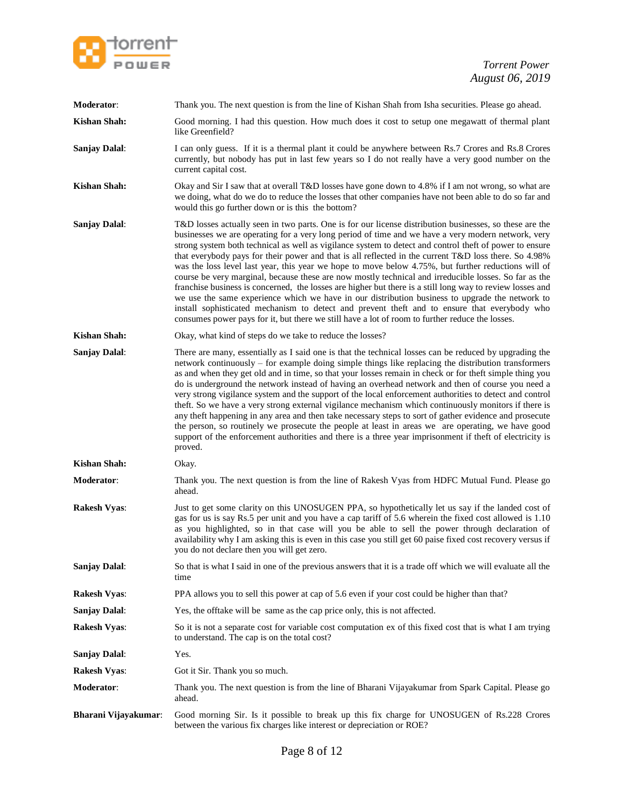

| Moderator:           | Thank you. The next question is from the line of Kishan Shah from Isha securities. Please go ahead.                                                                                                                                                                                                                                                                                                                                                                                                                                                                                                                                                                                                                                                                                                                                                                                                                                                                                                                                                                  |
|----------------------|----------------------------------------------------------------------------------------------------------------------------------------------------------------------------------------------------------------------------------------------------------------------------------------------------------------------------------------------------------------------------------------------------------------------------------------------------------------------------------------------------------------------------------------------------------------------------------------------------------------------------------------------------------------------------------------------------------------------------------------------------------------------------------------------------------------------------------------------------------------------------------------------------------------------------------------------------------------------------------------------------------------------------------------------------------------------|
| <b>Kishan Shah:</b>  | Good morning. I had this question. How much does it cost to setup one megawatt of thermal plant<br>like Greenfield?                                                                                                                                                                                                                                                                                                                                                                                                                                                                                                                                                                                                                                                                                                                                                                                                                                                                                                                                                  |
| <b>Sanjay Dalal:</b> | I can only guess. If it is a thermal plant it could be anywhere between Rs.7 Crores and Rs.8 Crores<br>currently, but nobody has put in last few years so I do not really have a very good number on the<br>current capital cost.                                                                                                                                                                                                                                                                                                                                                                                                                                                                                                                                                                                                                                                                                                                                                                                                                                    |
| <b>Kishan Shah:</b>  | Okay and Sir I saw that at overall T&D losses have gone down to 4.8% if I am not wrong, so what are<br>we doing, what do we do to reduce the losses that other companies have not been able to do so far and<br>would this go further down or is this the bottom?                                                                                                                                                                                                                                                                                                                                                                                                                                                                                                                                                                                                                                                                                                                                                                                                    |
| <b>Sanjay Dalal:</b> | T&D losses actually seen in two parts. One is for our license distribution businesses, so these are the<br>businesses we are operating for a very long period of time and we have a very modern network, very<br>strong system both technical as well as vigilance system to detect and control theft of power to ensure<br>that everybody pays for their power and that is all reflected in the current T&D loss there. So 4.98%<br>was the loss level last year, this year we hope to move below 4.75%, but further reductions will of<br>course be very marginal, because these are now mostly technical and irreducible losses. So far as the<br>franchise business is concerned, the losses are higher but there is a still long way to review losses and<br>we use the same experience which we have in our distribution business to upgrade the network to<br>install sophisticated mechanism to detect and prevent theft and to ensure that everybody who<br>consumes power pays for it, but there we still have a lot of room to further reduce the losses. |
| <b>Kishan Shah:</b>  | Okay, what kind of steps do we take to reduce the losses?                                                                                                                                                                                                                                                                                                                                                                                                                                                                                                                                                                                                                                                                                                                                                                                                                                                                                                                                                                                                            |
| <b>Sanjay Dalal:</b> | There are many, essentially as I said one is that the technical losses can be reduced by upgrading the<br>network continuously – for example doing simple things like replacing the distribution transformers<br>as and when they get old and in time, so that your losses remain in check or for theft simple thing you<br>do is underground the network instead of having an overhead network and then of course you need a<br>very strong vigilance system and the support of the local enforcement authorities to detect and control<br>theft. So we have a very strong external vigilance mechanism which continuously monitors if there is<br>any theft happening in any area and then take necessary steps to sort of gather evidence and prosecute<br>the person, so routinely we prosecute the people at least in areas we are operating, we have good<br>support of the enforcement authorities and there is a three year imprisonment if theft of electricity is<br>proved.                                                                               |
| <b>Kishan Shah:</b>  | Okay.                                                                                                                                                                                                                                                                                                                                                                                                                                                                                                                                                                                                                                                                                                                                                                                                                                                                                                                                                                                                                                                                |
| Moderator:           | Thank you. The next question is from the line of Rakesh Vyas from HDFC Mutual Fund. Please go<br>ahead.                                                                                                                                                                                                                                                                                                                                                                                                                                                                                                                                                                                                                                                                                                                                                                                                                                                                                                                                                              |
| <b>Rakesh Vyas:</b>  | Just to get some clarity on this UNOSUGEN PPA, so hypothetically let us say if the landed cost of<br>gas for us is say Rs.5 per unit and you have a cap tariff of 5.6 wherein the fixed cost allowed is 1.10<br>as you highlighted, so in that case will you be able to sell the power through declaration of<br>availability why I am asking this is even in this case you still get 60 paise fixed cost recovery versus if<br>you do not declare then you will get zero.                                                                                                                                                                                                                                                                                                                                                                                                                                                                                                                                                                                           |
| <b>Sanjay Dalal:</b> | So that is what I said in one of the previous answers that it is a trade off which we will evaluate all the<br>time                                                                                                                                                                                                                                                                                                                                                                                                                                                                                                                                                                                                                                                                                                                                                                                                                                                                                                                                                  |
| <b>Rakesh Vyas:</b>  | PPA allows you to sell this power at cap of 5.6 even if your cost could be higher than that?                                                                                                                                                                                                                                                                                                                                                                                                                                                                                                                                                                                                                                                                                                                                                                                                                                                                                                                                                                         |
| <b>Sanjay Dalal:</b> | Yes, the offtake will be same as the cap price only, this is not affected.                                                                                                                                                                                                                                                                                                                                                                                                                                                                                                                                                                                                                                                                                                                                                                                                                                                                                                                                                                                           |
| <b>Rakesh Vyas:</b>  | So it is not a separate cost for variable cost computation ex of this fixed cost that is what I am trying<br>to understand. The cap is on the total cost?                                                                                                                                                                                                                                                                                                                                                                                                                                                                                                                                                                                                                                                                                                                                                                                                                                                                                                            |
| <b>Sanjay Dalal:</b> | Yes.                                                                                                                                                                                                                                                                                                                                                                                                                                                                                                                                                                                                                                                                                                                                                                                                                                                                                                                                                                                                                                                                 |
| <b>Rakesh Vyas:</b>  | Got it Sir. Thank you so much.                                                                                                                                                                                                                                                                                                                                                                                                                                                                                                                                                                                                                                                                                                                                                                                                                                                                                                                                                                                                                                       |
| Moderator:           | Thank you. The next question is from the line of Bharani Vijayakumar from Spark Capital. Please go<br>ahead.                                                                                                                                                                                                                                                                                                                                                                                                                                                                                                                                                                                                                                                                                                                                                                                                                                                                                                                                                         |
| Bharani Vijayakumar: | Good morning Sir. Is it possible to break up this fix charge for UNOSUGEN of Rs.228 Crores<br>between the various fix charges like interest or depreciation or ROE?                                                                                                                                                                                                                                                                                                                                                                                                                                                                                                                                                                                                                                                                                                                                                                                                                                                                                                  |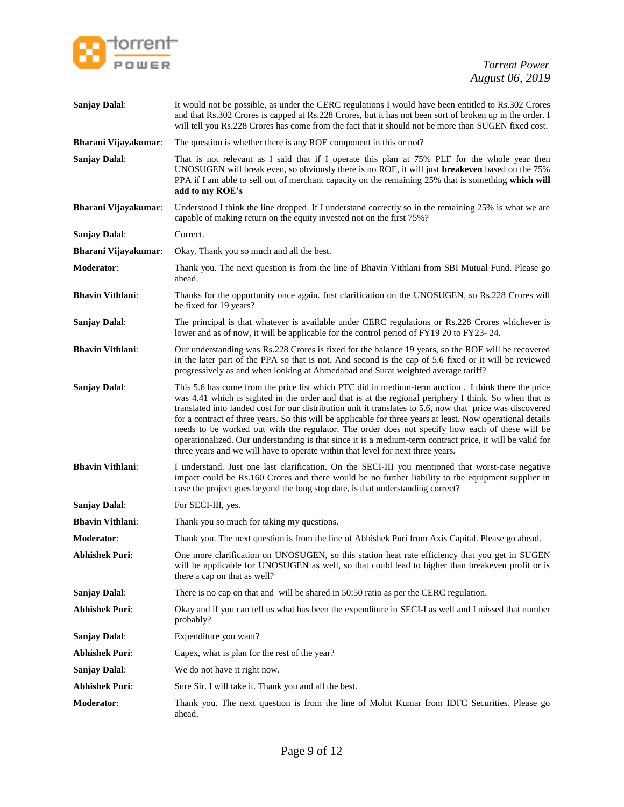

| <b>Sanjay Dalal:</b>        | It would not be possible, as under the CERC regulations I would have been entitled to Rs.302 Crores<br>and that Rs.302 Crores is capped at Rs.228 Crores, but it has not been sort of broken up in the order. I<br>will tell you Rs.228 Crores has come from the fact that it should not be more than SUGEN fixed cost.                                                                                                                                                                                                                                                                                                                                                                                                                      |
|-----------------------------|----------------------------------------------------------------------------------------------------------------------------------------------------------------------------------------------------------------------------------------------------------------------------------------------------------------------------------------------------------------------------------------------------------------------------------------------------------------------------------------------------------------------------------------------------------------------------------------------------------------------------------------------------------------------------------------------------------------------------------------------|
| Bharani Vijayakumar:        | The question is whether there is any ROE component in this or not?                                                                                                                                                                                                                                                                                                                                                                                                                                                                                                                                                                                                                                                                           |
| <b>Sanjay Dalal:</b>        | That is not relevant as I said that if I operate this plan at 75% PLF for the whole year then<br>UNOSUGEN will break even, so obviously there is no ROE, it will just breakeven based on the 75%<br>PPA if I am able to sell out of merchant capacity on the remaining 25% that is something which will<br>add to my ROE's                                                                                                                                                                                                                                                                                                                                                                                                                   |
| Bharani Vijayakumar:        | Understood I think the line dropped. If I understand correctly so in the remaining 25% is what we are<br>capable of making return on the equity invested not on the first 75%?                                                                                                                                                                                                                                                                                                                                                                                                                                                                                                                                                               |
| <b>Sanjay Dalal:</b>        | Correct.                                                                                                                                                                                                                                                                                                                                                                                                                                                                                                                                                                                                                                                                                                                                     |
| <b>Bharani Vijayakumar:</b> | Okay. Thank you so much and all the best.                                                                                                                                                                                                                                                                                                                                                                                                                                                                                                                                                                                                                                                                                                    |
| Moderator:                  | Thank you. The next question is from the line of Bhavin Vithlani from SBI Mutual Fund. Please go<br>ahead.                                                                                                                                                                                                                                                                                                                                                                                                                                                                                                                                                                                                                                   |
| <b>Bhavin Vithlani:</b>     | Thanks for the opportunity once again. Just clarification on the UNOSUGEN, so Rs.228 Crores will<br>be fixed for 19 years?                                                                                                                                                                                                                                                                                                                                                                                                                                                                                                                                                                                                                   |
| <b>Sanjay Dalal:</b>        | The principal is that whatever is available under CERC regulations or Rs.228 Crores whichever is<br>lower and as of now, it will be applicable for the control period of FY19 20 to FY23-24.                                                                                                                                                                                                                                                                                                                                                                                                                                                                                                                                                 |
| <b>Bhavin Vithlani:</b>     | Our understanding was Rs.228 Crores is fixed for the balance 19 years, so the ROE will be recovered<br>in the later part of the PPA so that is not. And second is the cap of 5.6 fixed or it will be reviewed<br>progressively as and when looking at Ahmedabad and Surat weighted average tariff?                                                                                                                                                                                                                                                                                                                                                                                                                                           |
| Sanjay Dalal:               | This 5.6 has come from the price list which PTC did in medium-term auction . I think there the price<br>was 4.41 which is sighted in the order and that is at the regional periphery I think. So when that is<br>translated into landed cost for our distribution unit it translates to 5.6, now that price was discovered<br>for a contract of three years. So this will be applicable for three years at least. Now operational details<br>needs to be worked out with the regulator. The order does not specify how each of these will be<br>operationalized. Our understanding is that since it is a medium-term contract price, it will be valid for<br>three years and we will have to operate within that level for next three years. |
| <b>Bhavin Vithlani:</b>     | I understand. Just one last clarification. On the SECI-III you mentioned that worst-case negative<br>impact could be Rs.160 Crores and there would be no further liability to the equipment supplier in<br>case the project goes beyond the long stop date, is that understanding correct?                                                                                                                                                                                                                                                                                                                                                                                                                                                   |
| <b>Sanjay Dalal:</b>        | For SECI-III, yes.                                                                                                                                                                                                                                                                                                                                                                                                                                                                                                                                                                                                                                                                                                                           |
| <b>Bhavin Vithlani:</b>     | Thank you so much for taking my questions.                                                                                                                                                                                                                                                                                                                                                                                                                                                                                                                                                                                                                                                                                                   |
| <b>Moderator:</b>           | Thank you. The next question is from the line of Abhishek Puri from Axis Capital. Please go ahead.                                                                                                                                                                                                                                                                                                                                                                                                                                                                                                                                                                                                                                           |
| <b>Abhishek Puri:</b>       | One more clarification on UNOSUGEN, so this station heat rate efficiency that you get in SUGEN<br>will be applicable for UNOSUGEN as well, so that could lead to higher than breakeven profit or is<br>there a cap on that as well?                                                                                                                                                                                                                                                                                                                                                                                                                                                                                                          |
| <b>Sanjay Dalal:</b>        | There is no cap on that and will be shared in 50:50 ratio as per the CERC regulation.                                                                                                                                                                                                                                                                                                                                                                                                                                                                                                                                                                                                                                                        |
| <b>Abhishek Puri:</b>       | Okay and if you can tell us what has been the expenditure in SECI-I as well and I missed that number<br>probably?                                                                                                                                                                                                                                                                                                                                                                                                                                                                                                                                                                                                                            |
| <b>Sanjay Dalal:</b>        | Expenditure you want?                                                                                                                                                                                                                                                                                                                                                                                                                                                                                                                                                                                                                                                                                                                        |
| <b>Abhishek Puri:</b>       | Capex, what is plan for the rest of the year?                                                                                                                                                                                                                                                                                                                                                                                                                                                                                                                                                                                                                                                                                                |
| <b>Sanjay Dalal:</b>        | We do not have it right now.                                                                                                                                                                                                                                                                                                                                                                                                                                                                                                                                                                                                                                                                                                                 |
| <b>Abhishek Puri:</b>       | Sure Sir. I will take it. Thank you and all the best.                                                                                                                                                                                                                                                                                                                                                                                                                                                                                                                                                                                                                                                                                        |
| Moderator:                  | Thank you. The next question is from the line of Mohit Kumar from IDFC Securities. Please go<br>ahead.                                                                                                                                                                                                                                                                                                                                                                                                                                                                                                                                                                                                                                       |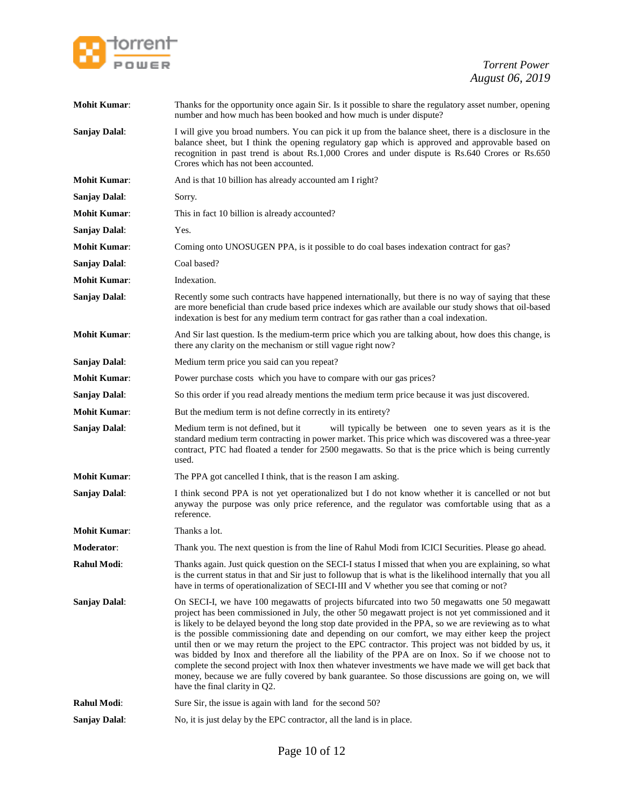

| <b>Mohit Kumar:</b>  | Thanks for the opportunity once again Sir. Is it possible to share the regulatory asset number, opening<br>number and how much has been booked and how much is under dispute?                                                                                                                                                                                                                                                                                                                                                                                                                                                                                                                                                                                                                                                                                             |
|----------------------|---------------------------------------------------------------------------------------------------------------------------------------------------------------------------------------------------------------------------------------------------------------------------------------------------------------------------------------------------------------------------------------------------------------------------------------------------------------------------------------------------------------------------------------------------------------------------------------------------------------------------------------------------------------------------------------------------------------------------------------------------------------------------------------------------------------------------------------------------------------------------|
| <b>Sanjay Dalal:</b> | I will give you broad numbers. You can pick it up from the balance sheet, there is a disclosure in the<br>balance sheet, but I think the opening regulatory gap which is approved and approvable based on<br>recognition in past trend is about Rs.1,000 Crores and under dispute is Rs.640 Crores or Rs.650<br>Crores which has not been accounted.                                                                                                                                                                                                                                                                                                                                                                                                                                                                                                                      |
| <b>Mohit Kumar:</b>  | And is that 10 billion has already accounted am I right?                                                                                                                                                                                                                                                                                                                                                                                                                                                                                                                                                                                                                                                                                                                                                                                                                  |
| <b>Sanjay Dalal:</b> | Sorry.                                                                                                                                                                                                                                                                                                                                                                                                                                                                                                                                                                                                                                                                                                                                                                                                                                                                    |
| <b>Mohit Kumar:</b>  | This in fact 10 billion is already accounted?                                                                                                                                                                                                                                                                                                                                                                                                                                                                                                                                                                                                                                                                                                                                                                                                                             |
| <b>Sanjay Dalal:</b> | Yes.                                                                                                                                                                                                                                                                                                                                                                                                                                                                                                                                                                                                                                                                                                                                                                                                                                                                      |
| <b>Mohit Kumar:</b>  | Coming onto UNOSUGEN PPA, is it possible to do coal bases indexation contract for gas?                                                                                                                                                                                                                                                                                                                                                                                                                                                                                                                                                                                                                                                                                                                                                                                    |
| <b>Sanjay Dalal:</b> | Coal based?                                                                                                                                                                                                                                                                                                                                                                                                                                                                                                                                                                                                                                                                                                                                                                                                                                                               |
| <b>Mohit Kumar:</b>  | Indexation.                                                                                                                                                                                                                                                                                                                                                                                                                                                                                                                                                                                                                                                                                                                                                                                                                                                               |
| <b>Sanjay Dalal:</b> | Recently some such contracts have happened internationally, but there is no way of saying that these<br>are more beneficial than crude based price indexes which are available our study shows that oil-based<br>indexation is best for any medium term contract for gas rather than a coal indexation.                                                                                                                                                                                                                                                                                                                                                                                                                                                                                                                                                                   |
| <b>Mohit Kumar:</b>  | And Sir last question. Is the medium-term price which you are talking about, how does this change, is<br>there any clarity on the mechanism or still vague right now?                                                                                                                                                                                                                                                                                                                                                                                                                                                                                                                                                                                                                                                                                                     |
| <b>Sanjay Dalal:</b> | Medium term price you said can you repeat?                                                                                                                                                                                                                                                                                                                                                                                                                                                                                                                                                                                                                                                                                                                                                                                                                                |
| <b>Mohit Kumar:</b>  | Power purchase costs which you have to compare with our gas prices?                                                                                                                                                                                                                                                                                                                                                                                                                                                                                                                                                                                                                                                                                                                                                                                                       |
| <b>Sanjay Dalal:</b> | So this order if you read already mentions the medium term price because it was just discovered.                                                                                                                                                                                                                                                                                                                                                                                                                                                                                                                                                                                                                                                                                                                                                                          |
| <b>Mohit Kumar:</b>  | But the medium term is not define correctly in its entirety?                                                                                                                                                                                                                                                                                                                                                                                                                                                                                                                                                                                                                                                                                                                                                                                                              |
| <b>Sanjay Dalal:</b> | Medium term is not defined, but it<br>will typically be between one to seven years as it is the<br>standard medium term contracting in power market. This price which was discovered was a three-year<br>contract, PTC had floated a tender for 2500 megawatts. So that is the price which is being currently<br>used.                                                                                                                                                                                                                                                                                                                                                                                                                                                                                                                                                    |
| <b>Mohit Kumar:</b>  | The PPA got cancelled I think, that is the reason I am asking.                                                                                                                                                                                                                                                                                                                                                                                                                                                                                                                                                                                                                                                                                                                                                                                                            |
| <b>Sanjay Dalal:</b> | I think second PPA is not yet operationalized but I do not know whether it is cancelled or not but<br>anyway the purpose was only price reference, and the regulator was comfortable using that as a<br>reference.                                                                                                                                                                                                                                                                                                                                                                                                                                                                                                                                                                                                                                                        |
| <b>Mohit Kumar:</b>  | Thanks a lot.                                                                                                                                                                                                                                                                                                                                                                                                                                                                                                                                                                                                                                                                                                                                                                                                                                                             |
| <b>Moderator:</b>    | Thank you. The next question is from the line of Rahul Modi from ICICI Securities. Please go ahead.                                                                                                                                                                                                                                                                                                                                                                                                                                                                                                                                                                                                                                                                                                                                                                       |
| Rahul Modi:          | Thanks again. Just quick question on the SECI-I status I missed that when you are explaining, so what<br>is the current status in that and Sir just to followup that is what is the likelihood internally that you all<br>have in terms of operationalization of SECI-III and V whether you see that coming or not?                                                                                                                                                                                                                                                                                                                                                                                                                                                                                                                                                       |
| <b>Sanjay Dalal:</b> | On SECI-I, we have 100 megawatts of projects bifurcated into two 50 megawatts one 50 megawatt<br>project has been commissioned in July, the other 50 megawatt project is not yet commissioned and it<br>is likely to be delayed beyond the long stop date provided in the PPA, so we are reviewing as to what<br>is the possible commissioning date and depending on our comfort, we may either keep the project<br>until then or we may return the project to the EPC contractor. This project was not bidded by us, it<br>was bidded by Inox and therefore all the liability of the PPA are on Inox. So if we choose not to<br>complete the second project with lnox then whatever investments we have made we will get back that<br>money, because we are fully covered by bank guarantee. So those discussions are going on, we will<br>have the final clarity in Q2. |
| <b>Rahul Modi:</b>   | Sure Sir, the issue is again with land for the second 50?                                                                                                                                                                                                                                                                                                                                                                                                                                                                                                                                                                                                                                                                                                                                                                                                                 |
| <b>Sanjay Dalal:</b> | No, it is just delay by the EPC contractor, all the land is in place.                                                                                                                                                                                                                                                                                                                                                                                                                                                                                                                                                                                                                                                                                                                                                                                                     |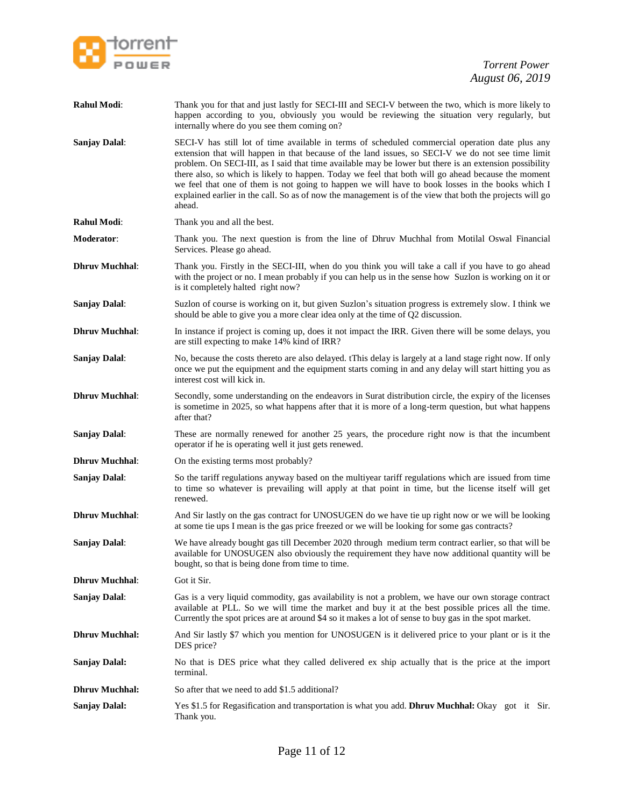

| Rahul Modi:           | Thank you for that and just lastly for SECI-III and SECI-V between the two, which is more likely to<br>happen according to you, obviously you would be reviewing the situation very regularly, but<br>internally where do you see them coming on?                                                                                                                                                                                                                                                                                                                                                                                              |
|-----------------------|------------------------------------------------------------------------------------------------------------------------------------------------------------------------------------------------------------------------------------------------------------------------------------------------------------------------------------------------------------------------------------------------------------------------------------------------------------------------------------------------------------------------------------------------------------------------------------------------------------------------------------------------|
| <b>Sanjay Dalal:</b>  | SECI-V has still lot of time available in terms of scheduled commercial operation date plus any<br>extension that will happen in that because of the land issues, so SECI-V we do not see time limit<br>problem. On SECI-III, as I said that time available may be lower but there is an extension possibility<br>there also, so which is likely to happen. Today we feel that both will go ahead because the moment<br>we feel that one of them is not going to happen we will have to book losses in the books which I<br>explained earlier in the call. So as of now the management is of the view that both the projects will go<br>ahead. |
| <b>Rahul Modi:</b>    | Thank you and all the best.                                                                                                                                                                                                                                                                                                                                                                                                                                                                                                                                                                                                                    |
| <b>Moderator</b> :    | Thank you. The next question is from the line of Dhruv Muchhal from Motilal Oswal Financial<br>Services. Please go ahead.                                                                                                                                                                                                                                                                                                                                                                                                                                                                                                                      |
| <b>Dhruv Muchhal:</b> | Thank you. Firstly in the SECI-III, when do you think you will take a call if you have to go ahead<br>with the project or no. I mean probably if you can help us in the sense how Suzlon is working on it or<br>is it completely halted right now?                                                                                                                                                                                                                                                                                                                                                                                             |
| <b>Sanjay Dalal:</b>  | Suzlon of course is working on it, but given Suzlon's situation progress is extremely slow. I think we<br>should be able to give you a more clear idea only at the time of Q2 discussion.                                                                                                                                                                                                                                                                                                                                                                                                                                                      |
| <b>Dhruv Muchhal:</b> | In instance if project is coming up, does it not impact the IRR. Given there will be some delays, you<br>are still expecting to make 14% kind of IRR?                                                                                                                                                                                                                                                                                                                                                                                                                                                                                          |
| <b>Sanjay Dalal:</b>  | No, because the costs thereto are also delayed. tThis delay is largely at a land stage right now. If only<br>once we put the equipment and the equipment starts coming in and any delay will start hitting you as<br>interest cost will kick in.                                                                                                                                                                                                                                                                                                                                                                                               |
| <b>Dhruv Muchhal:</b> | Secondly, some understanding on the endeavors in Surat distribution circle, the expiry of the licenses<br>is sometime in 2025, so what happens after that it is more of a long-term question, but what happens<br>after that?                                                                                                                                                                                                                                                                                                                                                                                                                  |
| <b>Sanjay Dalal:</b>  | These are normally renewed for another 25 years, the procedure right now is that the incumbent<br>operator if he is operating well it just gets renewed.                                                                                                                                                                                                                                                                                                                                                                                                                                                                                       |
| <b>Dhruv Muchhal:</b> | On the existing terms most probably?                                                                                                                                                                                                                                                                                                                                                                                                                                                                                                                                                                                                           |
| <b>Sanjay Dalal:</b>  | So the tariff regulations anyway based on the multiyear tariff regulations which are issued from time<br>to time so whatever is prevailing will apply at that point in time, but the license itself will get<br>renewed.                                                                                                                                                                                                                                                                                                                                                                                                                       |
| <b>Dhruv Muchhal:</b> | And Sir lastly on the gas contract for UNOSUGEN do we have tie up right now or we will be looking<br>at some tie ups I mean is the gas price freezed or we will be looking for some gas contracts?                                                                                                                                                                                                                                                                                                                                                                                                                                             |
| <b>Sanjay Dalal:</b>  | We have already bought gas till December 2020 through medium term contract earlier, so that will be<br>available for UNOSUGEN also obviously the requirement they have now additional quantity will be<br>bought, so that is being done from time to time.                                                                                                                                                                                                                                                                                                                                                                                     |
| <b>Dhruv Muchhal:</b> | Got it Sir.                                                                                                                                                                                                                                                                                                                                                                                                                                                                                                                                                                                                                                    |
| <b>Sanjay Dalal:</b>  | Gas is a very liquid commodity, gas availability is not a problem, we have our own storage contract<br>available at PLL. So we will time the market and buy it at the best possible prices all the time.<br>Currently the spot prices are at around \$4 so it makes a lot of sense to buy gas in the spot market.                                                                                                                                                                                                                                                                                                                              |
| <b>Dhruv Muchhal:</b> | And Sir lastly \$7 which you mention for UNOSUGEN is it delivered price to your plant or is it the<br>DES price?                                                                                                                                                                                                                                                                                                                                                                                                                                                                                                                               |
| <b>Sanjay Dalal:</b>  | No that is DES price what they called delivered ex ship actually that is the price at the import<br>terminal.                                                                                                                                                                                                                                                                                                                                                                                                                                                                                                                                  |
| <b>Dhruv Muchhal:</b> | So after that we need to add \$1.5 additional?                                                                                                                                                                                                                                                                                                                                                                                                                                                                                                                                                                                                 |
| <b>Sanjay Dalal:</b>  | Yes \$1.5 for Regasification and transportation is what you add. Dhruv Muchhal: Okay got it Sir.<br>Thank you.                                                                                                                                                                                                                                                                                                                                                                                                                                                                                                                                 |